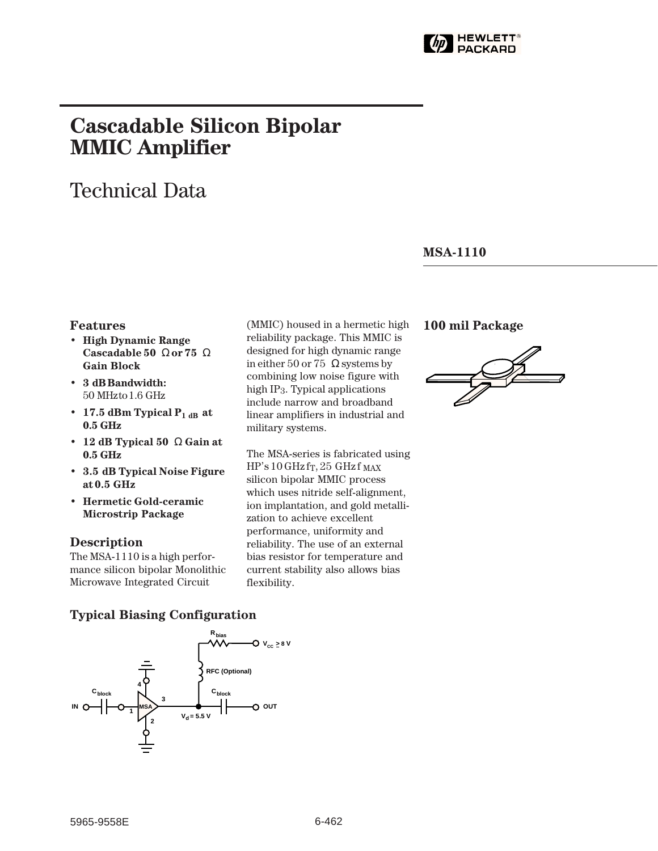

# **Cascadable Silicon Bipolar MMIC␣ Amplifier**

# Technical Data

### **MSA-1110**

### **Features**

- **High Dynamic Range Cascadable 50␣** Ω **or 75␣** Ω **Gain Block**
- **3␣ dB Bandwidth:** 50␣ MHz to 1.6␣ GHz
- 17.5 dBm Typical  $P_{1 dB}$  at **0.5␣ GHz**
- **12 dB Typical 50␣** Ω **Gain at 0.5␣ GHz**
- **3.5␣ dB Typical Noise Figure at 0.5␣ GHz**
- **Hermetic Gold-ceramic Microstrip Package**

### **Description**

The MSA-1110 is a high performance silicon bipolar Monolithic Microwave Integrated Circuit

(MMIC) housed in a hermetic high reliability package. This MMIC is designed for high dynamic range in either 50 or 75  $\,\Omega$  systems by combining low noise figure with high IP3. Typical applications include narrow and broadband linear amplifiers in industrial and military systems.

The MSA-series is fabricated using  $HP's 10 GHz$  f<sub>T</sub>, 25 GHz f  $_{MAX}$ silicon bipolar MMIC process which uses nitride self-alignment, ion implantation, and gold metallization to achieve excellent performance, uniformity and reliability. The use of an external bias resistor for temperature and current stability also allows bias flexibility.

## **100 mil Package**



### **Typical Biasing Configuration**

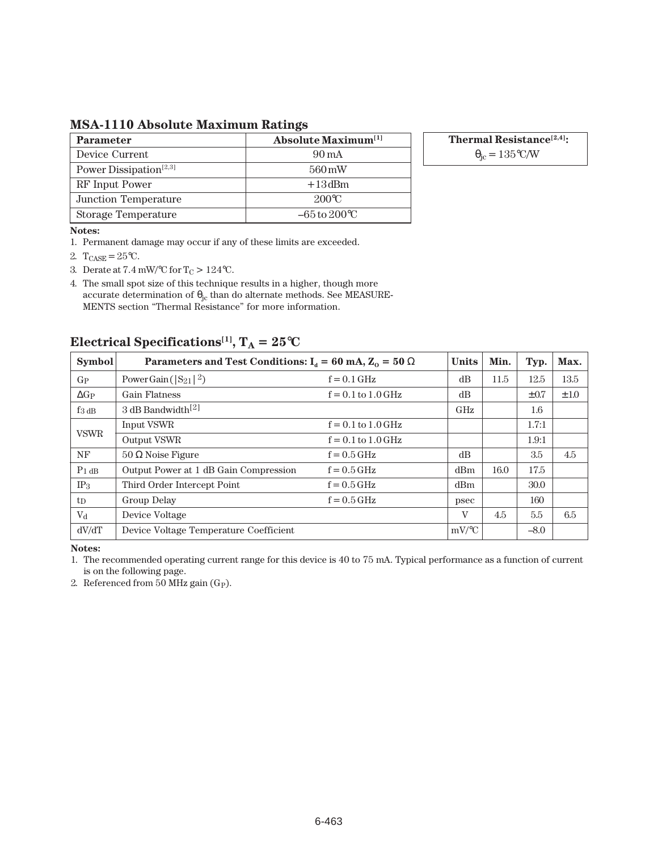**MSA-1110 Absolute Maximum Ratings**

| <b>Parameter</b>                   | <b>Absolute Maximum</b> <sup>[1]</sup> |
|------------------------------------|----------------------------------------|
| Device Current                     | 90 mA                                  |
| Power Dissipation <sup>[2,3]</sup> | 560 mW                                 |
| RF Input Power                     | $+13$ dBm                              |
| Junction Temperature               | $200^{\circ}C$                         |
| Storage Temperature                | $-65$ to $200^{\circ}$ C               |

**Thermal Resistance[2,4]:**

 $\theta_{\rm jc} = 135$ °C/W

#### **Notes:**

1. Permanent damage may occur if any of these limits are exceeded.

- 2.  $T_{CASE} = 25^{\circ}C$ .
- 3. Derate at 7.4 mW/°C for  $T_C > 124$ °C.

4. The small spot size of this technique results in a higher, though more accurate determination of  $\theta_{\rm jc}$  than do alternate methods. See MEASURE-MENTS section "Thermal Resistance" for more information.

### **Electrical Specifications<sup>[1]</sup>,**  $T_A = 25^{\circ}C$

| <b>Symbol</b>       | Parameters and Test Conditions: $I_d = 60$ mA, $Z_0 = 50 \Omega$ | <b>Units</b>           | Min.         | Typ. | Max.      |           |
|---------------------|------------------------------------------------------------------|------------------------|--------------|------|-----------|-----------|
| $G_{P}$             | Power Gain ( $ S_{21} ^2$ )                                      | $f = 0.1$ GHz          | dB           | 11.5 | 12.5      | 13.5      |
| $\Delta G$ P        | <b>Gain Flatness</b>                                             | $f = 0.1$ to $1.0$ GHz | dB           |      | $\pm 0.7$ | $\pm 1.0$ |
| $f_{3\,\text{dB}}$  | 3 dB Bandwidth <sup>[2]</sup>                                    |                        | GHz          |      | 1.6       |           |
| <b>VSWR</b>         | Input VSWR                                                       | $f = 0.1$ to $1.0$ GHz |              |      | 1.7:1     |           |
|                     | Output VSWR                                                      | $f = 0.1$ to $1.0$ GHz |              |      | 1.9:1     |           |
| NF                  | $50 \Omega$ Noise Figure                                         | $f = 0.5$ GHz          | dB           |      | 3.5       | 4.5       |
| $P_1$ <sub>dB</sub> | Output Power at 1 dB Gain Compression                            | $f = 0.5$ GHz          | dBm          | 16.0 | 17.5      |           |
| IP <sub>3</sub>     | Third Order Intercept Point                                      | $f = 0.5$ GHz          | dBm          |      | 30.0      |           |
| $t_{\rm D}$         | Group Delay                                                      | $f = 0.5$ GHz          | psec         |      | 160       |           |
| $V_{d}$             | Device Voltage                                                   |                        | $\mathbf{V}$ | 4.5  | 5.5       | 6.5       |
| dV/dT               | Device Voltage Temperature Coefficient                           |                        | $mV$ /°C     |      | $-8.0$    |           |

**Notes:**

1. The recommended operating current range for this device is 40 to 75 mA. Typical performance as a function of current is on the following page.

2. Referenced from 50 MHz gain  $(G_P)$ .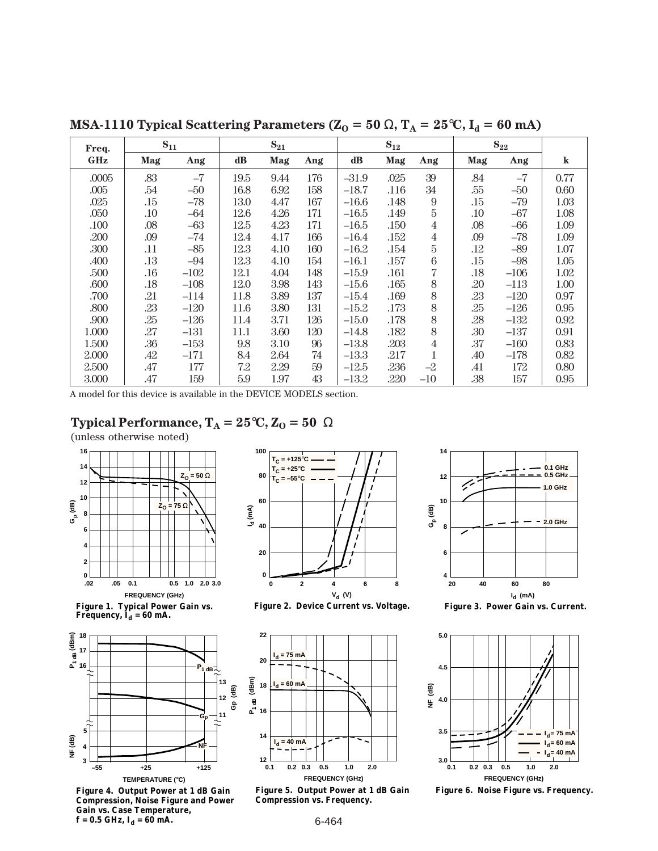| Freq.      | $S_{11}$ |        | $S_{21}$ |      |     | $S_{12}$ |      |                | $S_{22}$ |        |         |
|------------|----------|--------|----------|------|-----|----------|------|----------------|----------|--------|---------|
| <b>GHz</b> | Mag      | Ang    | dB       | Mag  | Ang | dB       | Mag  | Ang            | Mag      | Ang    | $\bf k$ |
| .0005      | .83      | $-7$   | 19.5     | 9.44 | 176 | $-31.9$  | .025 | 39             | .84      | $-7$   | 0.77    |
| .005       | .54      | $-50$  | 16.8     | 6.92 | 158 | $-18.7$  | .116 | 34             | .55      | -50    | 0.60    |
| .025       | .15      | $-78$  | 13.0     | 4.47 | 167 | $-16.6$  | .148 | 9              | .15      | $-79$  | 1.03    |
| .050       | $.10\,$  | -64    | 12.6     | 4.26 | 171 | $-16.5$  | .149 | 5              | .10      | $-67$  | 1.08    |
| .100       | .08      | $-63$  | 12.5     | 4.23 | 171 | $-16.5$  | .150 | $\overline{4}$ | .08      | -66    | 1.09    |
| .200       | .09      | $-74$  | 12.4     | 4.17 | 166 | $-16.4$  | .152 | $\overline{4}$ | .09      | $-78$  | 1.09    |
| .300       | .11      | $-85$  | 12.3     | 4.10 | 160 | $-16.2$  | .154 | 5              | .12      | $-89$  | 1.07    |
| .400       | .13      | $-94$  | 12.3     | 4.10 | 154 | $-16.1$  | .157 | 6              | .15      | $-98$  | 1.05    |
| .500       | .16      | $-102$ | 12.1     | 4.04 | 148 | $-15.9$  | .161 | 7              | .18      | $-106$ | 1.02    |
| .600       | .18      | $-108$ | 12.0     | 3.98 | 143 | $-15.6$  | .165 | 8              | .20      | $-113$ | 1.00    |
| .700       | .21      | $-114$ | 11.8     | 3.89 | 137 | $-15.4$  | .169 | 8              | .23      | $-120$ | 0.97    |
| .800       | .23      | $-120$ | 11.6     | 3.80 | 131 | $-15.2$  | .173 | 8              | .25      | $-126$ | 0.95    |
| .900       | .25      | $-126$ | 11.4     | 3.71 | 126 | $-15.0$  | .178 | 8              | .28      | $-132$ | 0.92    |
| 1.000      | .27      | $-131$ | 11.1     | 3.60 | 120 | $-14.8$  | .182 | 8              | .30      | $-137$ | 0.91    |
| 1.500      | .36      | $-153$ | 9.8      | 3.10 | 96  | $-13.8$  | .203 | 4              | .37      | $-160$ | 0.83    |
| 2.000      | .42      | $-171$ | 8.4      | 2.64 | 74  | $-13.3$  | .217 | 1              | .40      | $-178$ | 0.82    |
| 2.500      | .47      | 177    | 7.2      | 2.29 | 59  | $-12.5$  | .236 | $-2$           | .41      | 172    | 0.80    |
| 3.000      | .47      | 159    | 5.9      | 1.97 | 43  | $-13.2$  | .220 | $-10$          | .38      | 157    | 0.95    |

**MSA-1110 Typical Scattering Parameters (** $Z_0 = 50 \Omega$ **,**  $T_A = 25^{\circ}C$ **,**  $I_d = 60 \text{ mA}$ **)** 

A model for this device is available in the DEVICE MODELS section.

## **Typical Performance,**  $T_A = 25^\circ \text{C}$ **,**  $Z_0 = 50 \Omega$

(unless otherwise noted)



**Figure 1. Typical Power Gain vs.**  Frequency,  $\mathbf{I}_{\mathbf{d}} = 60 \text{ mA}.$ 



**Figure 4. Output Power at 1 dB Gain Compression, Noise Figure and Power Gain vs. Case Temperature,**   $f = 0.5$  GHz,  $I_d = 60$  mA.







**Figure 5. Output Power at 1 dB Gain Compression vs. Frequency.**



**Figure 3. Power Gain vs. Current.**



**Figure 6. Noise Figure vs. Frequency.**